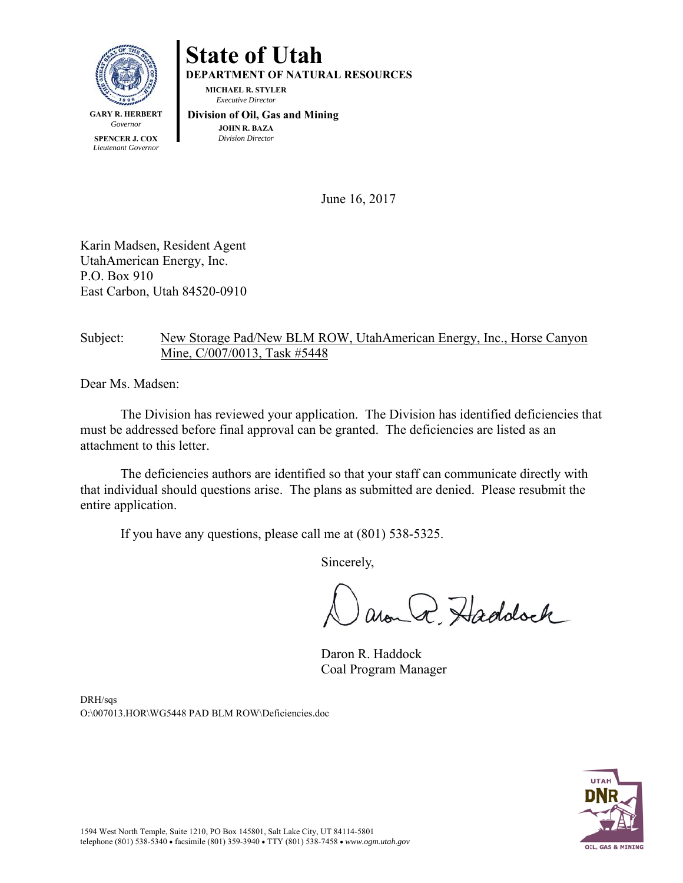

# **State of Utah**

**DEPARTMENT OF NATURAL RESOURCES** 

**MICHAEL R. STYLER**   *Executive Director* 

*Governor*  **SPENCER J. COX**  *Lieutenant Governor*   **Division of Oil, Gas and Mining JOHN R. BAZA**  *Division Director*

June 16, 2017

Karin Madsen, Resident Agent UtahAmerican Energy, Inc. P.O. Box 910 East Carbon, Utah 84520-0910

## Subject: New Storage Pad/New BLM ROW, UtahAmerican Energy, Inc., Horse Canyon Mine, C/007/0013, Task #5448

Dear Ms. Madsen:

The Division has reviewed your application. The Division has identified deficiencies that must be addressed before final approval can be granted. The deficiencies are listed as an attachment to this letter.

The deficiencies authors are identified so that your staff can communicate directly with that individual should questions arise. The plans as submitted are denied. Please resubmit the entire application.

If you have any questions, please call me at (801) 538-5325.

Sincerely,

around Haddock

 Daron R. Haddock Coal Program Manager

DRH/sqs O:\007013.HOR\WG5448 PAD BLM ROW\Deficiencies.doc

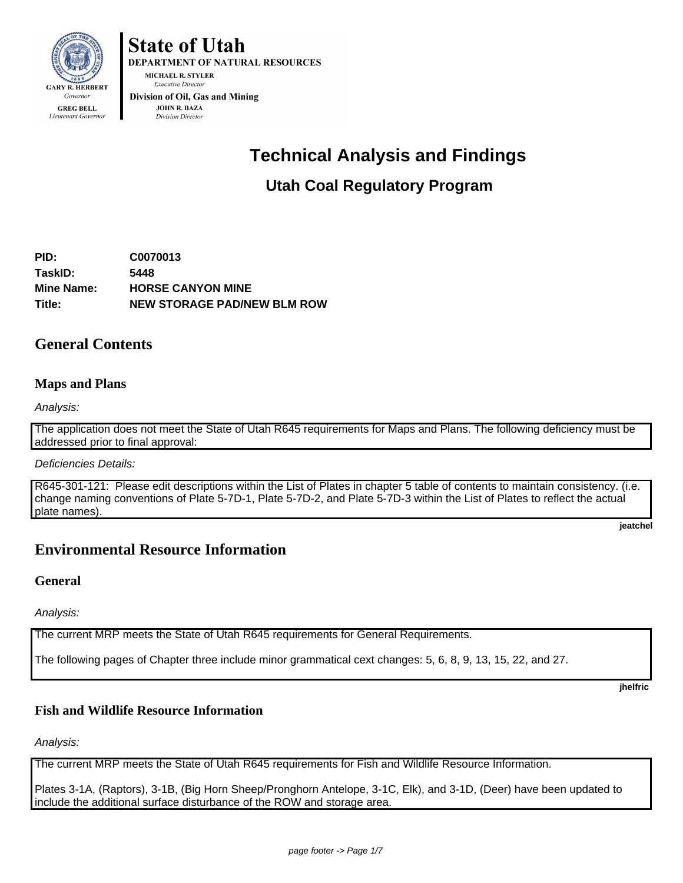

**State of Utah** 

**DEPARTMENT OF NATURAL RESOURCES** MICHAEL R. STYLER **Executive Director** Division of Oil, Gas and Mining

JOHN R. BAZA **Division Director** 

## **Technical Analysis and Findings**

## **Utah Coal Regulatory Program**

**PID: C0070013 TaskID: 5448 Mine Name: HORSE CANYON MINE Title: NEW STORAGE PAD/NEW BLM ROW**

## **General Contents**

## **Maps and Plans**

Analysis:

The application does not meet the State of Utah R645 requirements for Maps and Plans. The following deficiency must be addressed prior to final approval:

#### Deficiencies Details:

R645-301-121: Please edit descriptions within the List of Plates in chapter 5 table of contents to maintain consistency. (i.e. change naming conventions of Plate 5-7D-1, Plate 5-7D-2, and Plate 5-7D-3 within the List of Plates to reflect the actual plate names).

**jeatchel** 

## **Environmental Resource Information**

#### **General**

Analysis:

The current MRP meets the State of Utah R645 requirements for General Requirements.

The following pages of Chapter three include minor grammatical cext changes: 5, 6, 8, 9, 13, 15, 22, and 27.

**jhelfric** 

## **Fish and Wildlife Resource Information**

Analysis:

The current MRP meets the State of Utah R645 requirements for Fish and Wildlife Resource Information.

Plates 3-1A, (Raptors), 3-1B, (Big Horn Sheep/Pronghorn Antelope, 3-1C, Elk), and 3-1D, (Deer) have been updated to include the additional surface disturbance of the ROW and storage area.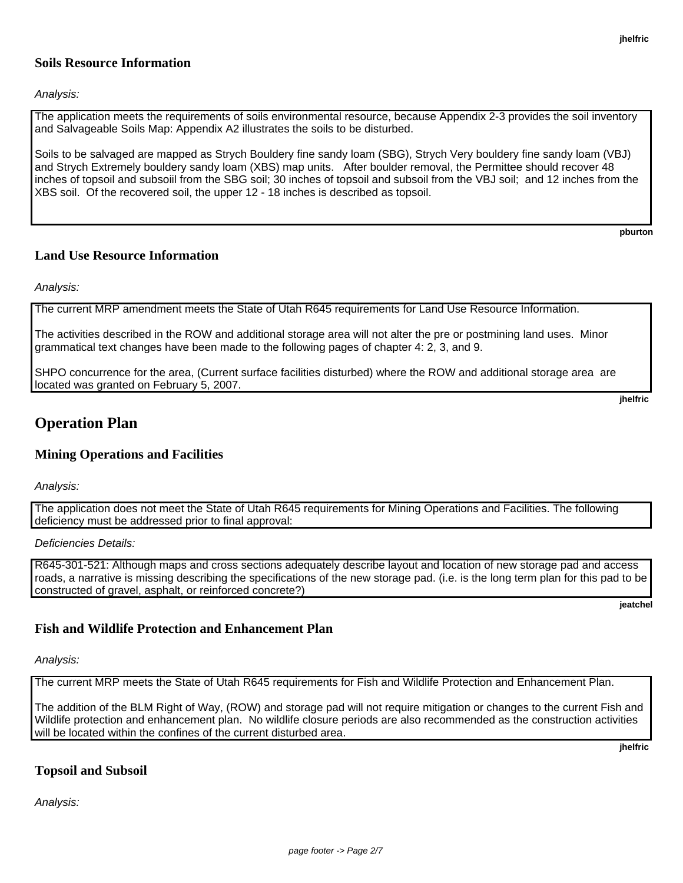#### **Soils Resource Information**

Analysis:

The application meets the requirements of soils environmental resource, because Appendix 2-3 provides the soil inventory and Salvageable Soils Map: Appendix A2 illustrates the soils to be disturbed.

Soils to be salvaged are mapped as Strych Bouldery fine sandy loam (SBG), Strych Very bouldery fine sandy loam (VBJ) and Strych Extremely bouldery sandy loam (XBS) map units. After boulder removal, the Permittee should recover 48 inches of topsoil and subsoiil from the SBG soil; 30 inches of topsoil and subsoil from the VBJ soil; and 12 inches from the XBS soil. Of the recovered soil, the upper 12 - 18 inches is described as topsoil.

**pburton** 

#### **Land Use Resource Information**

Analysis:

The current MRP amendment meets the State of Utah R645 requirements for Land Use Resource Information.

The activities described in the ROW and additional storage area will not alter the pre or postmining land uses. Minor grammatical text changes have been made to the following pages of chapter 4: 2, 3, and 9.

SHPO concurrence for the area, (Current surface facilities disturbed) where the ROW and additional storage area are located was granted on February 5, 2007.

**jhelfric** 

## **Operation Plan**

#### **Mining Operations and Facilities**

Analysis:

The application does not meet the State of Utah R645 requirements for Mining Operations and Facilities. The following deficiency must be addressed prior to final approval:

Deficiencies Details:

R645-301-521: Although maps and cross sections adequately describe layout and location of new storage pad and access roads, a narrative is missing describing the specifications of the new storage pad. (i.e. is the long term plan for this pad to be constructed of gravel, asphalt, or reinforced concrete?)

**jeatchel** 

#### **Fish and Wildlife Protection and Enhancement Plan**

Analysis:

The current MRP meets the State of Utah R645 requirements for Fish and Wildlife Protection and Enhancement Plan.

The addition of the BLM Right of Way, (ROW) and storage pad will not require mitigation or changes to the current Fish and Wildlife protection and enhancement plan. No wildlife closure periods are also recommended as the construction activities will be located within the confines of the current disturbed area.

**jhelfric** 

#### **Topsoil and Subsoil**

Analysis: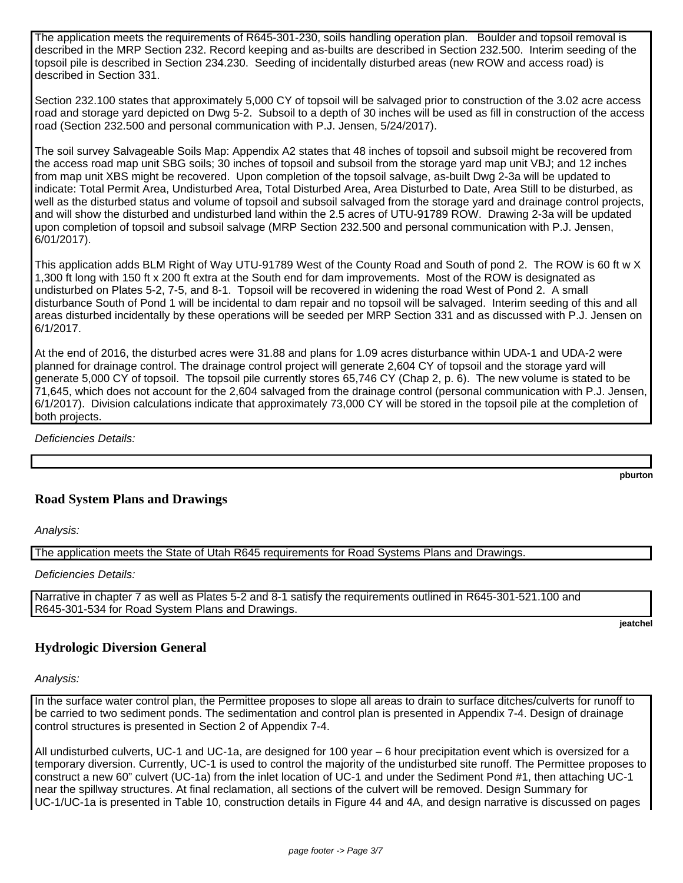The application meets the requirements of R645-301-230, soils handling operation plan. Boulder and topsoil removal is described in the MRP Section 232. Record keeping and as-builts are described in Section 232.500. Interim seeding of the topsoil pile is described in Section 234.230. Seeding of incidentally disturbed areas (new ROW and access road) is described in Section 331.

Section 232.100 states that approximately 5,000 CY of topsoil will be salvaged prior to construction of the 3.02 acre access road and storage yard depicted on Dwg 5-2. Subsoil to a depth of 30 inches will be used as fill in construction of the access road (Section 232.500 and personal communication with P.J. Jensen, 5/24/2017).

The soil survey Salvageable Soils Map: Appendix A2 states that 48 inches of topsoil and subsoil might be recovered from the access road map unit SBG soils; 30 inches of topsoil and subsoil from the storage yard map unit VBJ; and 12 inches from map unit XBS might be recovered. Upon completion of the topsoil salvage, as-built Dwg 2-3a will be updated to indicate: Total Permit Area, Undisturbed Area, Total Disturbed Area, Area Disturbed to Date, Area Still to be disturbed, as well as the disturbed status and volume of topsoil and subsoil salvaged from the storage yard and drainage control projects, and will show the disturbed and undisturbed land within the 2.5 acres of UTU-91789 ROW. Drawing 2-3a will be updated upon completion of topsoil and subsoil salvage (MRP Section 232.500 and personal communication with P.J. Jensen, 6/01/2017).

This application adds BLM Right of Way UTU-91789 West of the County Road and South of pond 2. The ROW is 60 ft w X 1,300 ft long with 150 ft x 200 ft extra at the South end for dam improvements. Most of the ROW is designated as undisturbed on Plates 5-2, 7-5, and 8-1. Topsoil will be recovered in widening the road West of Pond 2. A small disturbance South of Pond 1 will be incidental to dam repair and no topsoil will be salvaged. Interim seeding of this and all areas disturbed incidentally by these operations will be seeded per MRP Section 331 and as discussed with P.J. Jensen on 6/1/2017.

At the end of 2016, the disturbed acres were 31.88 and plans for 1.09 acres disturbance within UDA-1 and UDA-2 were planned for drainage control. The drainage control project will generate 2,604 CY of topsoil and the storage yard will generate 5,000 CY of topsoil. The topsoil pile currently stores 65,746 CY (Chap 2, p. 6). The new volume is stated to be 71,645, which does not account for the 2,604 salvaged from the drainage control (personal communication with P.J. Jensen, 6/1/2017). Division calculations indicate that approximately 73,000 CY will be stored in the topsoil pile at the completion of both projects.

Deficiencies Details:

**Road System Plans and Drawings**

Analysis:

The application meets the State of Utah R645 requirements for Road Systems Plans and Drawings.

Deficiencies Details:

Narrative in chapter 7 as well as Plates 5-2 and 8-1 satisfy the requirements outlined in R645-301-521.100 and R645-301-534 for Road System Plans and Drawings.

**jeatchel** 

**pburton** 

## **Hydrologic Diversion General**

Analysis:

In the surface water control plan, the Permittee proposes to slope all areas to drain to surface ditches/culverts for runoff to be carried to two sediment ponds. The sedimentation and control plan is presented in Appendix 7-4. Design of drainage control structures is presented in Section 2 of Appendix 7-4.

All undisturbed culverts, UC-1 and UC-1a, are designed for 100 year – 6 hour precipitation event which is oversized for a temporary diversion. Currently, UC-1 is used to control the majority of the undisturbed site runoff. The Permittee proposes to construct a new 60" culvert (UC-1a) from the inlet location of UC-1 and under the Sediment Pond #1, then attaching UC-1 near the spillway structures. At final reclamation, all sections of the culvert will be removed. Design Summary for UC-1/UC-1a is presented in Table 10, construction details in Figure 44 and 4A, and design narrative is discussed on pages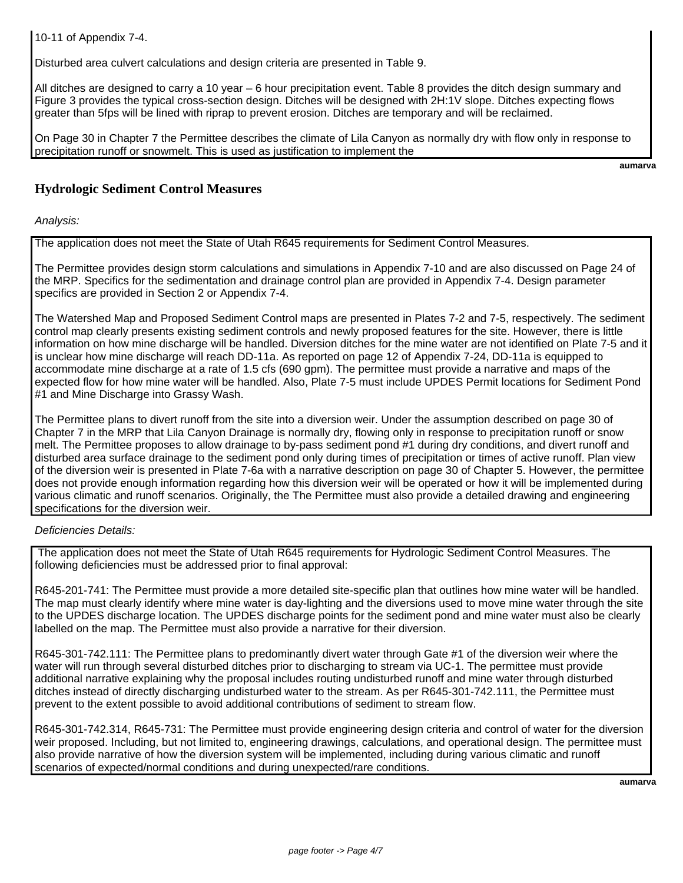10-11 of Appendix 7-4.

Disturbed area culvert calculations and design criteria are presented in Table 9.

All ditches are designed to carry a 10 year – 6 hour precipitation event. Table 8 provides the ditch design summary and Figure 3 provides the typical cross-section design. Ditches will be designed with 2H:1V slope. Ditches expecting flows greater than 5fps will be lined with riprap to prevent erosion. Ditches are temporary and will be reclaimed.

On Page 30 in Chapter 7 the Permittee describes the climate of Lila Canyon as normally dry with flow only in response to precipitation runoff or snowmelt. This is used as justification to implement the

**aumarva** 

## **Hydrologic Sediment Control Measures**

Analysis:

The application does not meet the State of Utah R645 requirements for Sediment Control Measures.

The Permittee provides design storm calculations and simulations in Appendix 7-10 and are also discussed on Page 24 of the MRP. Specifics for the sedimentation and drainage control plan are provided in Appendix 7-4. Design parameter specifics are provided in Section 2 or Appendix 7-4.

The Watershed Map and Proposed Sediment Control maps are presented in Plates 7-2 and 7-5, respectively. The sediment control map clearly presents existing sediment controls and newly proposed features for the site. However, there is little information on how mine discharge will be handled. Diversion ditches for the mine water are not identified on Plate 7-5 and it is unclear how mine discharge will reach DD-11a. As reported on page 12 of Appendix 7-24, DD-11a is equipped to accommodate mine discharge at a rate of 1.5 cfs (690 gpm). The permittee must provide a narrative and maps of the expected flow for how mine water will be handled. Also, Plate 7-5 must include UPDES Permit locations for Sediment Pond #1 and Mine Discharge into Grassy Wash.

The Permittee plans to divert runoff from the site into a diversion weir. Under the assumption described on page 30 of Chapter 7 in the MRP that Lila Canyon Drainage is normally dry, flowing only in response to precipitation runoff or snow melt. The Permittee proposes to allow drainage to by-pass sediment pond #1 during dry conditions, and divert runoff and disturbed area surface drainage to the sediment pond only during times of precipitation or times of active runoff. Plan view of the diversion weir is presented in Plate 7-6a with a narrative description on page 30 of Chapter 5. However, the permittee does not provide enough information regarding how this diversion weir will be operated or how it will be implemented during various climatic and runoff scenarios. Originally, the The Permittee must also provide a detailed drawing and engineering specifications for the diversion weir.

#### Deficiencies Details:

 The application does not meet the State of Utah R645 requirements for Hydrologic Sediment Control Measures. The following deficiencies must be addressed prior to final approval:

R645-201-741: The Permittee must provide a more detailed site-specific plan that outlines how mine water will be handled. The map must clearly identify where mine water is day-lighting and the diversions used to move mine water through the site to the UPDES discharge location. The UPDES discharge points for the sediment pond and mine water must also be clearly labelled on the map. The Permittee must also provide a narrative for their diversion.

R645-301-742.111: The Permittee plans to predominantly divert water through Gate #1 of the diversion weir where the water will run through several disturbed ditches prior to discharging to stream via UC-1. The permittee must provide additional narrative explaining why the proposal includes routing undisturbed runoff and mine water through disturbed ditches instead of directly discharging undisturbed water to the stream. As per R645-301-742.111, the Permittee must prevent to the extent possible to avoid additional contributions of sediment to stream flow.

R645-301-742.314, R645-731: The Permittee must provide engineering design criteria and control of water for the diversion weir proposed. Including, but not limited to, engineering drawings, calculations, and operational design. The permittee must also provide narrative of how the diversion system will be implemented, including during various climatic and runoff scenarios of expected/normal conditions and during unexpected/rare conditions.

**aumarva**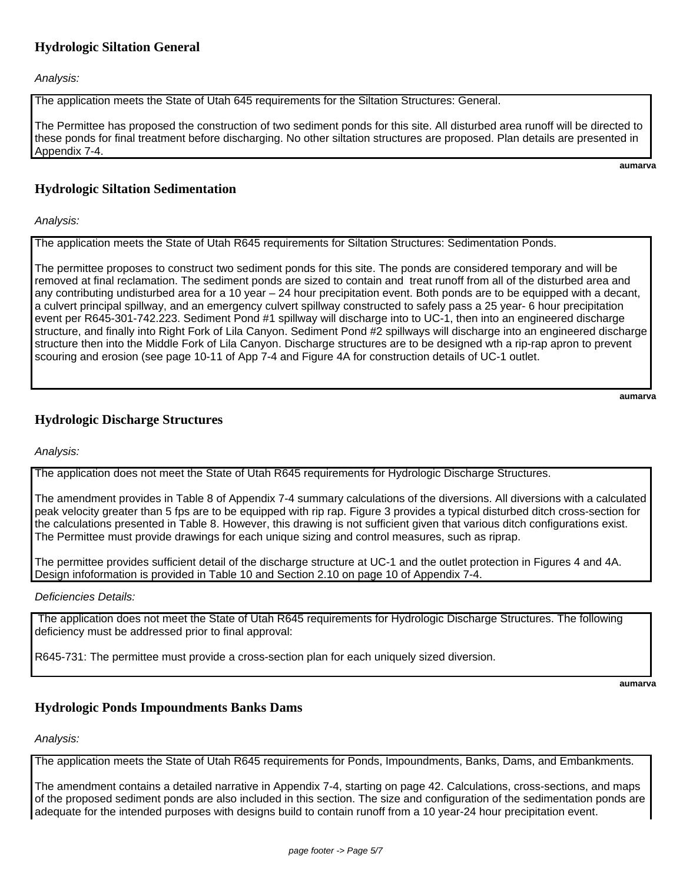## **Hydrologic Siltation General**

Analysis:

The application meets the State of Utah 645 requirements for the Siltation Structures: General.

The Permittee has proposed the construction of two sediment ponds for this site. All disturbed area runoff will be directed to these ponds for final treatment before discharging. No other siltation structures are proposed. Plan details are presented in Appendix 7-4.

**aumarva** 

## **Hydrologic Siltation Sedimentation**

Analysis:

The application meets the State of Utah R645 requirements for Siltation Structures: Sedimentation Ponds.

The permittee proposes to construct two sediment ponds for this site. The ponds are considered temporary and will be removed at final reclamation. The sediment ponds are sized to contain and treat runoff from all of the disturbed area and any contributing undisturbed area for a 10 year – 24 hour precipitation event. Both ponds are to be equipped with a decant, a culvert principal spillway, and an emergency culvert spillway constructed to safely pass a 25 year- 6 hour precipitation event per R645-301-742.223. Sediment Pond #1 spillway will discharge into to UC-1, then into an engineered discharge structure, and finally into Right Fork of Lila Canyon. Sediment Pond #2 spillways will discharge into an engineered discharge structure then into the Middle Fork of Lila Canyon. Discharge structures are to be designed wth a rip-rap apron to prevent scouring and erosion (see page 10-11 of App 7-4 and Figure 4A for construction details of UC-1 outlet.

**aumarva** 

## **Hydrologic Discharge Structures**

Analysis:

The application does not meet the State of Utah R645 requirements for Hydrologic Discharge Structures.

The amendment provides in Table 8 of Appendix 7-4 summary calculations of the diversions. All diversions with a calculated peak velocity greater than 5 fps are to be equipped with rip rap. Figure 3 provides a typical disturbed ditch cross-section for the calculations presented in Table 8. However, this drawing is not sufficient given that various ditch configurations exist. The Permittee must provide drawings for each unique sizing and control measures, such as riprap.

The permittee provides sufficient detail of the discharge structure at UC-1 and the outlet protection in Figures 4 and 4A. Design infoformation is provided in Table 10 and Section 2.10 on page 10 of Appendix 7-4.

Deficiencies Details:

 The application does not meet the State of Utah R645 requirements for Hydrologic Discharge Structures. The following deficiency must be addressed prior to final approval:

R645-731: The permittee must provide a cross-section plan for each uniquely sized diversion.

**aumarva** 

#### **Hydrologic Ponds Impoundments Banks Dams**

Analysis:

The application meets the State of Utah R645 requirements for Ponds, Impoundments, Banks, Dams, and Embankments.

The amendment contains a detailed narrative in Appendix 7-4, starting on page 42. Calculations, cross-sections, and maps of the proposed sediment ponds are also included in this section. The size and configuration of the sedimentation ponds are adequate for the intended purposes with designs build to contain runoff from a 10 year-24 hour precipitation event.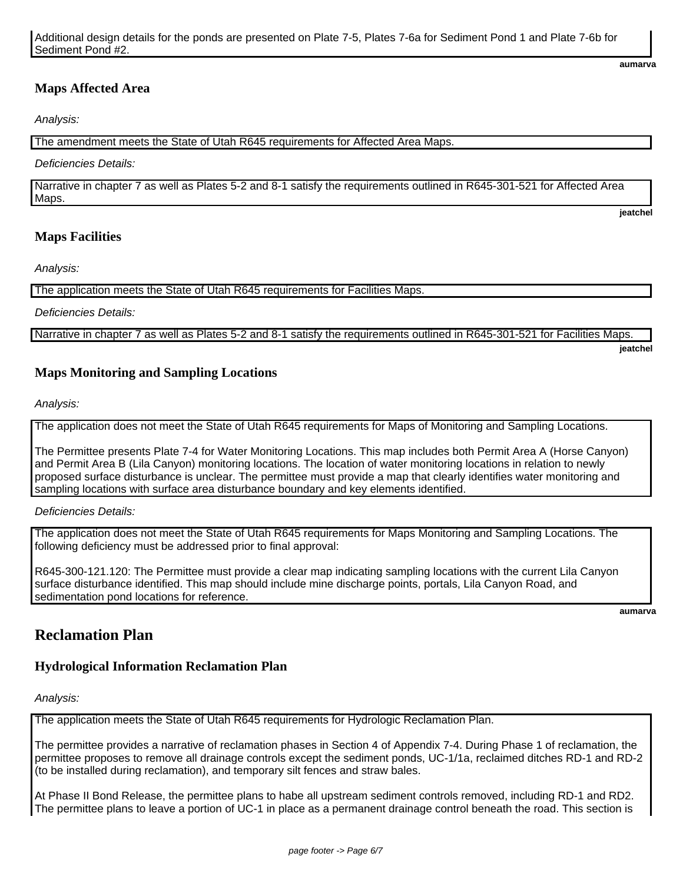## **Maps Affected Area**

Analysis:

The amendment meets the State of Utah R645 requirements for Affected Area Maps.

Deficiencies Details:

Narrative in chapter 7 as well as Plates 5-2 and 8-1 satisfy the requirements outlined in R645-301-521 for Affected Area Maps.

## **Maps Facilities**

Analysis:

The application meets the State of Utah R645 requirements for Facilities Maps.

Deficiencies Details:

Narrative in chapter 7 as well as Plates 5-2 and 8-1 satisfy the requirements outlined in R645-301-521 for Facilities Maps.

**jeatchel** 

**jeatchel** 

**aumarva** 

#### **Maps Monitoring and Sampling Locations**

Analysis:

The application does not meet the State of Utah R645 requirements for Maps of Monitoring and Sampling Locations.

The Permittee presents Plate 7-4 for Water Monitoring Locations. This map includes both Permit Area A (Horse Canyon) and Permit Area B (Lila Canyon) monitoring locations. The location of water monitoring locations in relation to newly proposed surface disturbance is unclear. The permittee must provide a map that clearly identifies water monitoring and sampling locations with surface area disturbance boundary and key elements identified.

Deficiencies Details:

The application does not meet the State of Utah R645 requirements for Maps Monitoring and Sampling Locations. The following deficiency must be addressed prior to final approval:

R645-300-121.120: The Permittee must provide a clear map indicating sampling locations with the current Lila Canyon surface disturbance identified. This map should include mine discharge points, portals, Lila Canyon Road, and sedimentation pond locations for reference.

**aumarva** 

## **Reclamation Plan**

#### **Hydrological Information Reclamation Plan**

Analysis:

The application meets the State of Utah R645 requirements for Hydrologic Reclamation Plan.

The permittee provides a narrative of reclamation phases in Section 4 of Appendix 7-4. During Phase 1 of reclamation, the permittee proposes to remove all drainage controls except the sediment ponds, UC-1/1a, reclaimed ditches RD-1 and RD-2 (to be installed during reclamation), and temporary silt fences and straw bales.

At Phase II Bond Release, the permittee plans to habe all upstream sediment controls removed, including RD-1 and RD2. The permittee plans to leave a portion of UC-1 in place as a permanent drainage control beneath the road. This section is